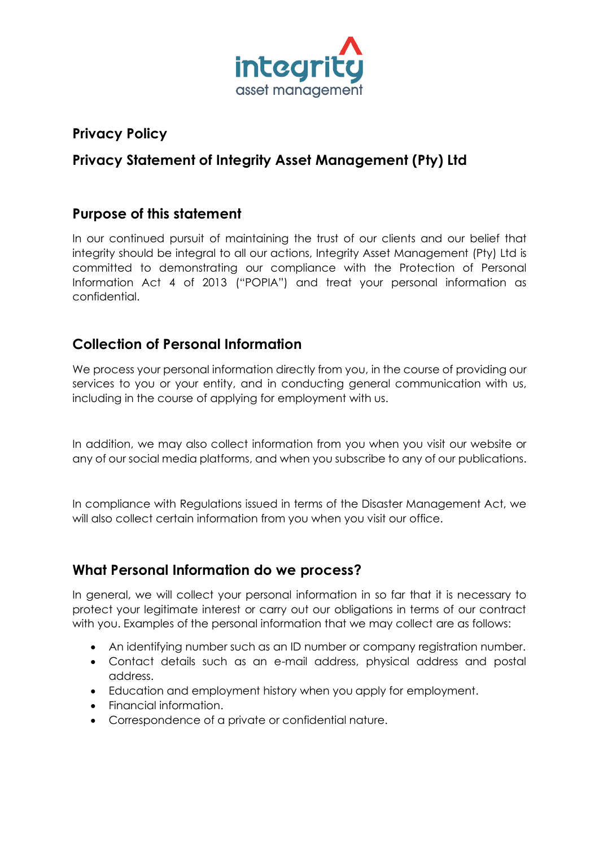

## **Privacy Policy**

# **Privacy Statement of Integrity Asset Management (Pty) Ltd**

#### **Purpose of this statement**

In our continued pursuit of maintaining the trust of our clients and our belief that integrity should be integral to all our actions, Integrity Asset Management (Pty) Ltd is committed to demonstrating our compliance with the Protection of Personal Information Act 4 of 2013 ("POPIA") and treat your personal information as confidential.

### **Collection of Personal Information**

We process your personal information directly from you, in the course of providing our services to you or your entity, and in conducting general communication with us, including in the course of applying for employment with us.

In addition, we may also collect information from you when you visit our website or any of our social media platforms, and when you subscribe to any of our publications.

In compliance with Regulations issued in terms of the Disaster Management Act, we will also collect certain information from you when you visit our office.

## **What Personal Information do we process?**

In general, we will collect your personal information in so far that it is necessary to protect your legitimate interest or carry out our obligations in terms of our contract with you. Examples of the personal information that we may collect are as follows:

- An identifying number such as an ID number or company registration number.
- Contact details such as an e-mail address, physical address and postal address.
- Education and employment history when you apply for employment.
- Financial information.
- Correspondence of a private or confidential nature.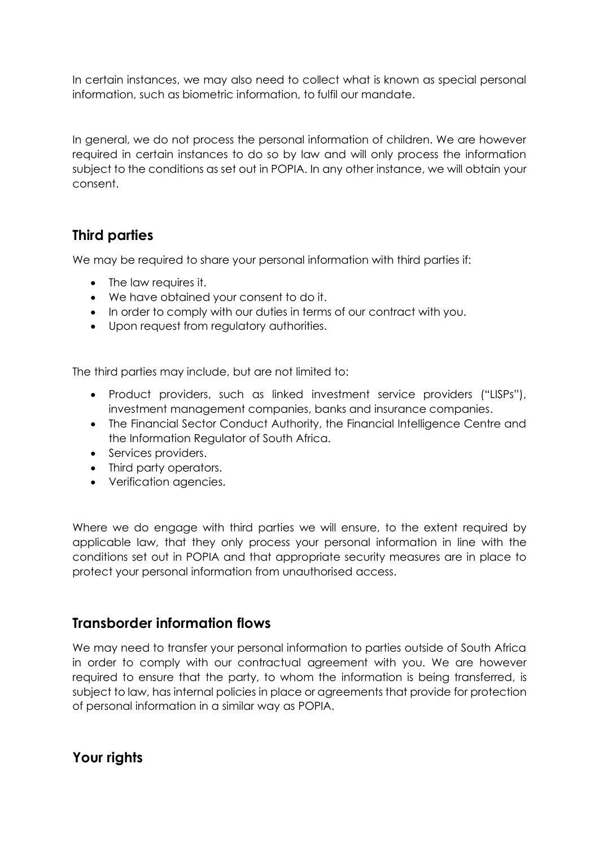In certain instances, we may also need to collect what is known as special personal information, such as biometric information, to fulfil our mandate.

In general, we do not process the personal information of children. We are however required in certain instances to do so by law and will only process the information subject to the conditions as set out in POPIA. In any other instance, we will obtain your consent.

#### **Third parties**

We may be required to share your personal information with third parties if:

- The law requires it.
- We have obtained your consent to do it.
- In order to comply with our duties in terms of our contract with you.
- Upon request from regulatory authorities.

The third parties may include, but are not limited to:

- Product providers, such as linked investment service providers ("LISPs"), investment management companies, banks and insurance companies.
- The Financial Sector Conduct Authority, the Financial Intelligence Centre and the Information Regulator of South Africa.
- Services providers.
- Third party operators.
- Verification agencies.

Where we do engage with third parties we will ensure, to the extent required by applicable law, that they only process your personal information in line with the conditions set out in POPIA and that appropriate security measures are in place to protect your personal information from unauthorised access.

#### **Transborder information flows**

We may need to transfer your personal information to parties outside of South Africa in order to comply with our contractual agreement with you. We are however required to ensure that the party, to whom the information is being transferred, is subject to law, has internal policies in place or agreements that provide for protection of personal information in a similar way as POPIA.

#### **Your rights**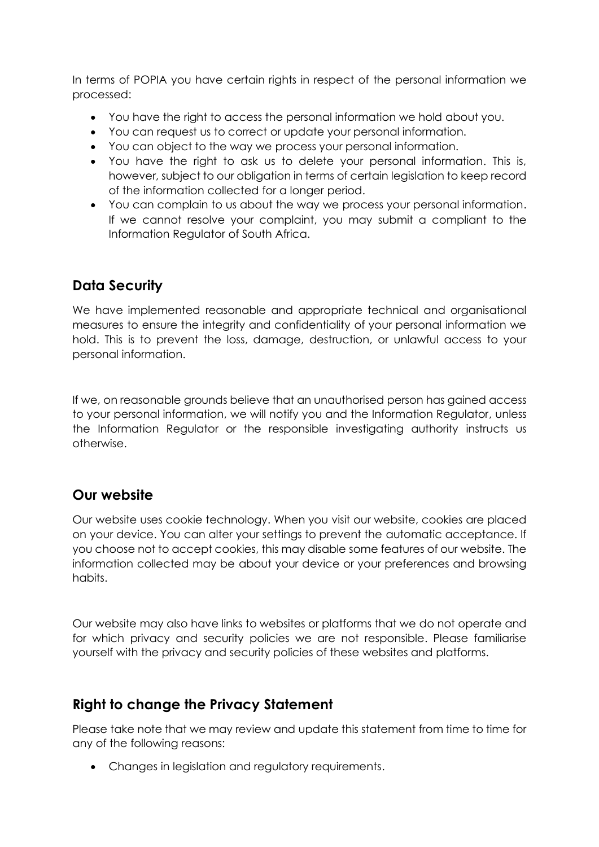In terms of POPIA you have certain rights in respect of the personal information we processed:

- You have the right to access the personal information we hold about you.
- You can request us to correct or update your personal information.
- You can object to the way we process your personal information.
- You have the right to ask us to delete your personal information. This is, however, subject to our obligation in terms of certain legislation to keep record of the information collected for a longer period.
- You can complain to us about the way we process your personal information. If we cannot resolve your complaint, you may submit a compliant to the Information Regulator of South Africa.

## **Data Security**

We have implemented reasonable and appropriate technical and organisational measures to ensure the integrity and confidentiality of your personal information we hold. This is to prevent the loss, damage, destruction, or unlawful access to your personal information.

If we, on reasonable grounds believe that an unauthorised person has gained access to your personal information, we will notify you and the Information Regulator, unless the Information Regulator or the responsible investigating authority instructs us otherwise.

#### **Our website**

Our website uses cookie technology. When you visit our website, cookies are placed on your device. You can alter your settings to prevent the automatic acceptance. If you choose not to accept cookies, this may disable some features of our website. The information collected may be about your device or your preferences and browsing habits.

Our website may also have links to websites or platforms that we do not operate and for which privacy and security policies we are not responsible. Please familiarise yourself with the privacy and security policies of these websites and platforms.

## **Right to change the Privacy Statement**

Please take note that we may review and update this statement from time to time for any of the following reasons:

• Changes in legislation and regulatory requirements.